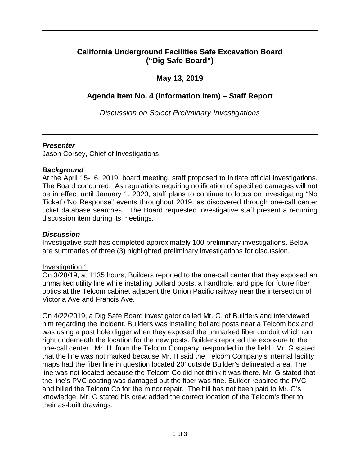# **California Underground Facilities Safe Excavation Board ("Dig Safe Board")**

# **May 13, 2019**

# **Agenda Item No. 4 (Information Item) – Staff Report**

*Discussion on Select Preliminary Investigations* 

#### *Presenter*

Jason Corsey, Chief of Investigations

# *Background*

 The Board concurred. As regulations requiring notification of specified damages will not be in effect until January 1, 2020, staff plans to continue to focus on investigating "No ticket database searches. The Board requested investigative staff present a recurring discussion item during its meetings. At the April 15-16, 2019, board meeting, staff proposed to initiate official investigations. Ticket"/"No Response" events throughout 2019, as discovered through one-call center

#### *Discussion*

Investigative staff has completed approximately 100 preliminary investigations. Below are summaries of three (3) highlighted preliminary investigations for discussion.

#### Investigation 1

 unmarked utility line while installing bollard posts, a handhole, and pipe for future fiber Victoria Ave and Francis Ave. On 3/28/19, at 1135 hours, Builders reported to the one-call center that they exposed an optics at the Telcom cabinet adjacent the Union Pacific railway near the intersection of

 was using a post hole digger when they exposed the unmarked fiber conduit which ran one-call center. Mr. H, from the Telcom Company, responded in the field. Mr. G stated that the line was not marked because Mr. H said the Telcom Company's internal facility and billed the Telcom Co for the minor repair. The bill has not been paid to Mr. G's knowledge. Mr. G stated his crew added the correct location of the Telcom's fiber to their as-built drawings. On 4/22/2019, a Dig Safe Board investigator called Mr. G, of Builders and interviewed him regarding the incident. Builders was installing bollard posts near a Telcom box and right underneath the location for the new posts. Builders reported the exposure to the maps had the fiber line in question located 20' outside Builder's delineated area. The line was not located because the Telcom Co did not think it was there. Mr. G stated that the line's PVC coating was damaged but the fiber was fine. Builder repaired the PVC their as-built drawings.<br>
1 of 3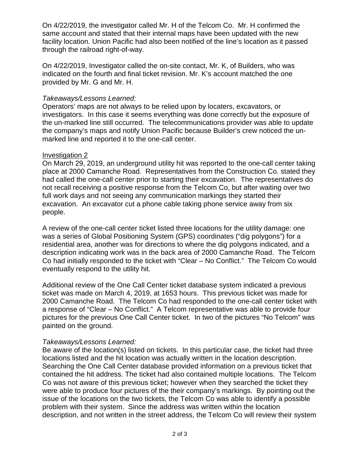On 4/22/2019, the investigator called Mr. H of the Telcom Co. Mr. H confirmed the same account and stated that their internal maps have been updated with the new facility location. Union Pacific had also been notified of the line's location as it passed through the railroad right-of-way.

On 4/22/2019, Investigator called the on-site contact, Mr. K, of Builders, who was indicated on the fourth and final ticket revision. Mr. K's account matched the one provided by Mr. G and Mr. H.

# *Takeaways/Lessons Learned:*

 investigators. In this case it seems everything was done correctly but the exposure of the un-marked line still occurred. The telecommunications provider was able to update Operators' maps are not always to be relied upon by locaters, excavators, or the company's maps and notify Union Pacific because Builder's crew noticed the unmarked line and reported it to the one-call center.

# Investigation 2

 On March 29, 2019, an underground utility hit was reported to the one-call center taking place at 2000 Camanche Road. Representatives from the Construction Co. stated they had called the one-call center prior to starting their excavation. The representatives do not recall receiving a positive response from the Telcom Co, but after waiting over two full work days and not seeing any communication markings they started their excavation. An excavator cut a phone cable taking phone service away from six people.

 residential area, another was for directions to where the dig polygons indicated, and a description indicating work was in the back area of 2000 Camanche Road. The Telcom Co had initially responded to the ticket with "Clear – No Conflict." The Telcom Co would A review of the one-call center ticket listed three locations for the utility damage: one was a series of Global Positioning System (GPS) coordinates ("dig polygons") for a eventually respond to the utility hit.

 Additional review of the One Call Center ticket database system indicated a previous ticket was made on March 4, 2019, at 1653 hours. This previous ticket was made for 2000 Camanche Road. The Telcom Co had responded to the one-call center ticket with a response of "Clear – No Conflict." A Telcom representative was able to provide four pictures for the previous One Call Center ticket. In two of the pictures "No Telcom" was painted on the ground.

### *Takeaways/Lessons Learned:*

 locations listed and the hit location was actually written in the location description. Searching the One Call Center database provided information on a previous ticket that contained the hit address. The ticket had also contained multiple locations. The Telcom Co was not aware of this previous ticket; however when they searched the ticket they Be aware of the location(s) listed on tickets. In this particular case, the ticket had three were able to produce four pictures of the their company's markings. By pointing out the issue of the locations on the two tickets, the Telcom Co was able to identify a possible problem with their system. Since the address was written within the location description, and not written in the street address, the Telcom Co will review their system